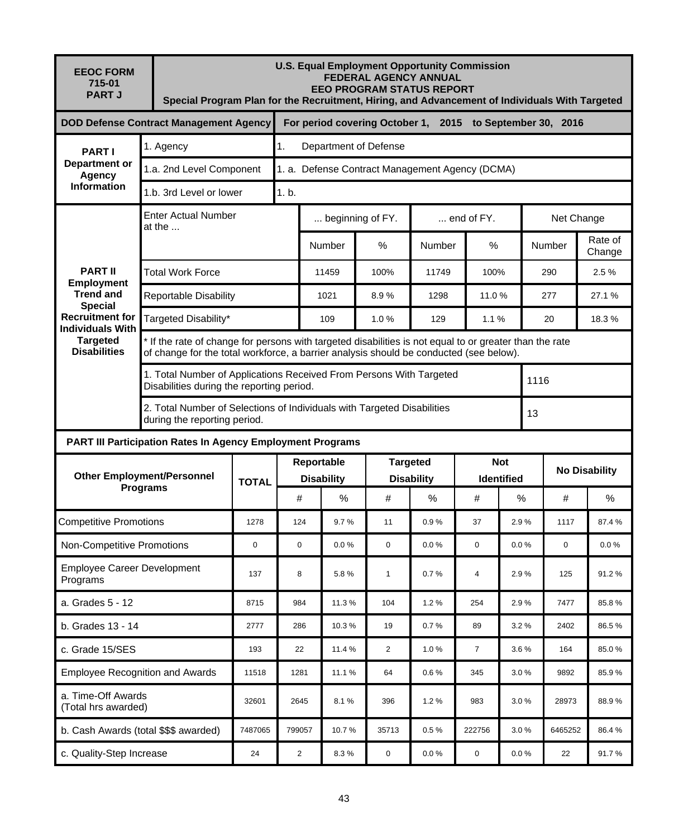| <b>EEOC FORM</b><br>715-01<br><b>PART J</b>                                                                                                                              |                                               | <b>U.S. Equal Employment Opportunity Commission</b><br><b>FEDERAL AGENCY ANNUAL</b><br><b>EEO PROGRAM STATUS REPORT</b><br>Special Program Plan for the Recruitment, Hiring, and Advancement of Individuals With Targeted |                                                                         |                        |          |                                      |                    |                                 |            |                      |                   |  |  |  |
|--------------------------------------------------------------------------------------------------------------------------------------------------------------------------|-----------------------------------------------|---------------------------------------------------------------------------------------------------------------------------------------------------------------------------------------------------------------------------|-------------------------------------------------------------------------|------------------------|----------|--------------------------------------|--------------------|---------------------------------|------------|----------------------|-------------------|--|--|--|
|                                                                                                                                                                          | <b>DOD Defense Contract Management Agency</b> | For period covering October 1, 2015 to September 30, 2016                                                                                                                                                                 |                                                                         |                        |          |                                      |                    |                                 |            |                      |                   |  |  |  |
| <b>PARTI</b><br><b>Department or</b><br>Agency<br><b>Information</b>                                                                                                     | 1.<br>1. Agency                               |                                                                                                                                                                                                                           |                                                                         | Department of Defense  |          |                                      |                    |                                 |            |                      |                   |  |  |  |
|                                                                                                                                                                          | 1.a. 2nd Level Component                      | 1. a. Defense Contract Management Agency (DCMA)                                                                                                                                                                           |                                                                         |                        |          |                                      |                    |                                 |            |                      |                   |  |  |  |
|                                                                                                                                                                          | 1.b. 3rd Level or lower                       | 1. b.                                                                                                                                                                                                                     |                                                                         |                        |          |                                      |                    |                                 |            |                      |                   |  |  |  |
|                                                                                                                                                                          | <b>Enter Actual Number</b><br>at the $\dots$  |                                                                                                                                                                                                                           |                                                                         | beginning of FY.       |          |                                      | $\dots$ end of FY. |                                 | Net Change |                      |                   |  |  |  |
| <b>PART II</b><br><b>Employment</b><br><b>Trend and</b><br><b>Special</b><br><b>Recruitment for</b><br><b>Individuals With</b><br><b>Targeted</b><br><b>Disabilities</b> |                                               |                                                                                                                                                                                                                           |                                                                         | <b>Number</b>          | $\%$     | <b>Number</b>                        | $\%$               |                                 | Number     |                      | Rate of<br>Change |  |  |  |
|                                                                                                                                                                          | <b>Total Work Force</b>                       |                                                                                                                                                                                                                           |                                                                         | 11459                  | 100%     | 11749                                | 100%               |                                 |            | 290                  | 2.5%              |  |  |  |
|                                                                                                                                                                          |                                               | <b>Reportable Disability</b>                                                                                                                                                                                              |                                                                         |                        | 8.9%     | 1298                                 |                    | 11.0%                           |            | 277                  | 27.1%             |  |  |  |
|                                                                                                                                                                          | Targeted Disability*                          |                                                                                                                                                                                                                           |                                                                         | 109                    | 1.0%     | 129                                  | 1.1%               |                                 |            | 20                   | 18.3%             |  |  |  |
|                                                                                                                                                                          |                                               | * If the rate of change for persons with targeted disabilities is not equal to or greater than the rate<br>of change for the total workforce, a barrier analysis should be conducted (see below).                         |                                                                         |                        |          |                                      |                    |                                 |            |                      |                   |  |  |  |
|                                                                                                                                                                          | Disabilities during the reporting period.     |                                                                                                                                                                                                                           | 1. Total Number of Applications Received From Persons With Targeted     |                        |          |                                      |                    |                                 | 1116       |                      |                   |  |  |  |
|                                                                                                                                                                          | during the reporting period.                  |                                                                                                                                                                                                                           | 2. Total Number of Selections of Individuals with Targeted Disabilities |                        |          |                                      |                    |                                 | 13         |                      |                   |  |  |  |
| <b>PART III Participation Rates In Agency Employment Programs</b>                                                                                                        |                                               |                                                                                                                                                                                                                           |                                                                         |                        |          |                                      |                    |                                 |            |                      |                   |  |  |  |
|                                                                                                                                                                          |                                               |                                                                                                                                                                                                                           |                                                                         | Reportable             |          | <b>Targeted</b><br><b>Disability</b> |                    | <b>Not</b><br><b>Identified</b> |            | <b>No Disability</b> |                   |  |  |  |
| <b>Other Employment/Personnel</b><br><b>Programs</b>                                                                                                                     |                                               | <b>TOTAL</b>                                                                                                                                                                                                              | #                                                                       | <b>Disability</b><br>% | #        | %                                    | #                  | %                               |            | #                    | $\frac{0}{0}$     |  |  |  |
| <b>Competitive Promotions</b>                                                                                                                                            | 1278                                          | 124                                                                                                                                                                                                                       | 9.7%                                                                    | 11                     | 0.9%     | 37                                   | 2.9%               |                                 | 1117       | 87.4%                |                   |  |  |  |
| Non-Competitive Promotions                                                                                                                                               |                                               | 0                                                                                                                                                                                                                         | $\mathbf 0$                                                             | 0.0%                   | 0        | $0.0 \%$                             | 0                  | 0.0%                            |            | $\mathbf 0$          | 0.0%              |  |  |  |
| <b>Employee Career Development</b><br>Programs                                                                                                                           |                                               | 137                                                                                                                                                                                                                       | 8                                                                       | 5.8%                   | 1        | 0.7%                                 | 4                  | 2.9%                            |            | 125                  | 91.2%             |  |  |  |
| a. Grades 5 - 12                                                                                                                                                         | 8715                                          | 984                                                                                                                                                                                                                       | 11.3%                                                                   | 104                    | 1.2%     | 254                                  | 2.9%               |                                 | 7477       | 85.8%                |                   |  |  |  |
| b. Grades 13 - 14                                                                                                                                                        | 2777                                          | 286                                                                                                                                                                                                                       | 10.3%                                                                   | 19                     | 0.7%     | 89                                   | 3.2%               |                                 | 2402       | 86.5%                |                   |  |  |  |
| c. Grade 15/SES                                                                                                                                                          | 193                                           | 22                                                                                                                                                                                                                        | 11.4 %                                                                  | 2                      | 1.0%     | $\overline{7}$                       | 3.6%               |                                 | 164        | 85.0%                |                   |  |  |  |
| <b>Employee Recognition and Awards</b>                                                                                                                                   | 11518                                         | 1281                                                                                                                                                                                                                      | 11.1%                                                                   | 64                     | 0.6%     | 345                                  | 3.0%               |                                 | 9892       | 85.9%                |                   |  |  |  |
| a. Time-Off Awards<br>(Total hrs awarded)                                                                                                                                |                                               | 32601                                                                                                                                                                                                                     | 2645                                                                    | 8.1%                   | 396      | 1.2%                                 | 983                | 3.0%                            |            | 28973                | 88.9%             |  |  |  |
| b. Cash Awards (total \$\$\$ awarded)                                                                                                                                    | 7487065                                       | 799057                                                                                                                                                                                                                    | 10.7%                                                                   | 35713                  | 0.5%     | 222756                               | 3.0%               |                                 | 6465252    | 86.4%                |                   |  |  |  |
| c. Quality-Step Increase                                                                                                                                                 | 24                                            | $\overline{2}$                                                                                                                                                                                                            | $8.3\,\%$                                                               | 0                      | $0.0 \%$ | $\pmb{0}$                            | $0.0 \%$           |                                 | 22         | 91.7%                |                   |  |  |  |